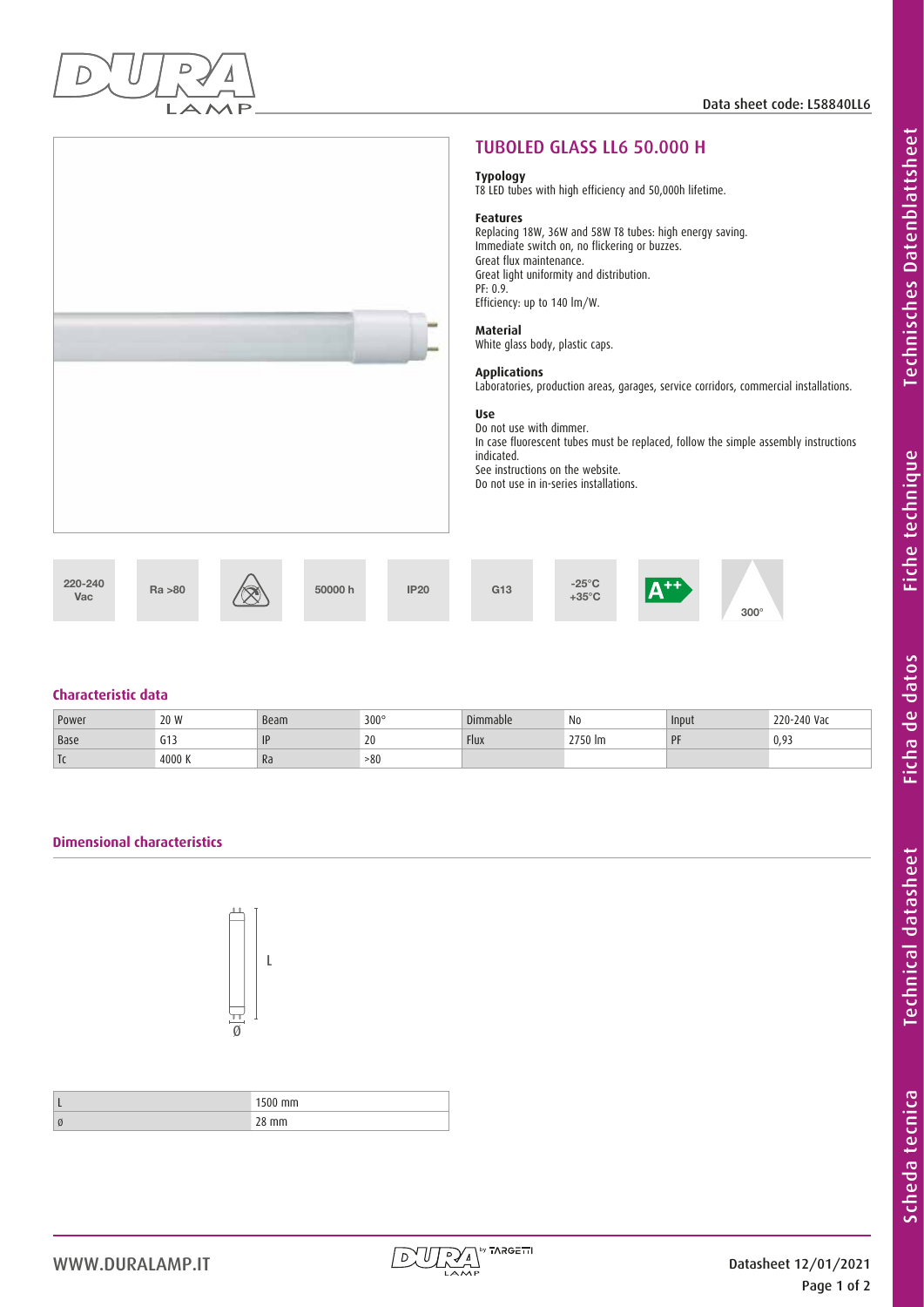

|                                                     | <b>TUBOLED GLASS LL6 50.000 H</b>                                                                                                                                                                                                                                                                                                                                                                                                                                                                                                                                                                                                                |
|-----------------------------------------------------|--------------------------------------------------------------------------------------------------------------------------------------------------------------------------------------------------------------------------------------------------------------------------------------------------------------------------------------------------------------------------------------------------------------------------------------------------------------------------------------------------------------------------------------------------------------------------------------------------------------------------------------------------|
|                                                     | <b>Typology</b><br>T8 LED tubes with high efficiency and 50,000h lifetime.                                                                                                                                                                                                                                                                                                                                                                                                                                                                                                                                                                       |
|                                                     | <b>Features</b><br>Replacing 18W, 36W and 58W T8 tubes: high energy saving.<br>Immediate switch on, no flickering or buzzes.<br>Great flux maintenance.<br>Great light uniformity and distribution.<br>PF: 0.9.<br>Efficiency: up to 140 lm/W.<br><b>Material</b><br>White glass body, plastic caps.<br><b>Applications</b><br>Laboratories, production areas, garages, service corridors, commercial installations.<br><b>Use</b><br>Do not use with dimmer.<br>In case fluorescent tubes must be replaced, follow the simple assembly instructions<br>indicated.<br>See instructions on the website.<br>Do not use in in-series installations. |
| 220-240<br>Ra > 80<br>50000 h<br><b>IP20</b><br>Vac | $-25^{\circ}$ C<br>$\mathsf{A}^{\mathsf{++}}$<br>G <sub>13</sub><br>$+35^{\circ}$ C<br>$300^\circ$                                                                                                                                                                                                                                                                                                                                                                                                                                                                                                                                               |

## **Characteristic data**

| Power                    | 20 W                   | Beam           | $300^\circ$ | Dimmable    | N <sub>0</sub> | Input            | 220-240 Vac |
|--------------------------|------------------------|----------------|-------------|-------------|----------------|------------------|-------------|
| <b>Base</b>              | $\sim$ 4 $\sim$<br>ចារ | $  \mathsf{F}$ | LV          | <b>Flux</b> | M 7750 Pm      | <b>DE</b><br>. . | 0.93        |
| $\overline{\phantom{a}}$ | 4000 K                 | Ra             | >80         |             |                |                  |             |

# **Dimensional characteristics**



| <br>. |
|-------|
| ,,,,  |

**Technisches Datenblattsheet** 

Fiche technique

Ficha de datos